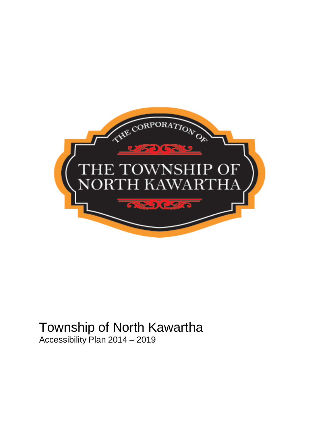

# <span id="page-0-0"></span>Township of North Kawartha

Accessibility Plan 2014 – 2019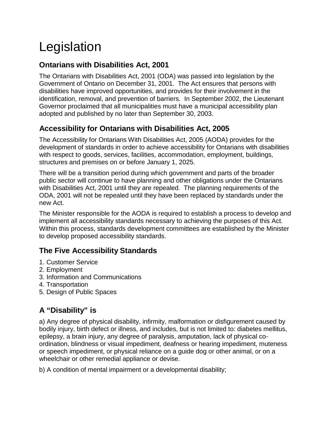## <span id="page-3-0"></span>Legislation

#### <span id="page-3-1"></span>**Ontarians with Disabilities Act, 2001**

The Ontarians with Disabilities Act, 2001 (ODA) was passed into legislation by the Government of Ontario on December 31, 2001. The Act ensures that persons with disabilities have improved opportunities, and provides for their involvement in the identification, removal, and prevention of barriers. In September 2002, the Lieutenant Governor proclaimed that all municipalities must have a municipal accessibility plan adopted and published by no later than September 30, 2003.

#### <span id="page-3-2"></span>**Accessibility for Ontarians with Disabilities Act, 2005**

The Accessibility for Ontarians With Disabilities Act, 2005 (AODA) provides for the development of standards in order to achieve accessibility for Ontarians with disabilities with respect to goods, services, facilities, accommodation, employment, buildings, structures and premises on or before January 1, 2025.

There will be a transition period during which government and parts of the broader public sector will continue to have planning and other obligations under the Ontarians with Disabilities Act, 2001 until they are repealed. The planning requirements of the ODA, 2001 will not be repealed until they have been replaced by standards under the new Act.

The Minister responsible for the AODA is required to establish a process to develop and implement all accessibility standards necessary to achieving the purposes of this Act. Within this process, standards development committees are established by the Minister to develop proposed accessibility standards.

#### <span id="page-3-3"></span>**The Five Accessibility Standards**

- 1. Customer Service
- 2. Employment
- 3. Information and Communications
- 4. Transportation
- 5. Design of Public Spaces

#### <span id="page-3-4"></span>**A "Disability" is**

a) Any degree of physical disability, infirmity, malformation or disfigurement caused by bodily injury, birth defect or illness, and includes, but is not limited to: diabetes mellitus, epilepsy, a brain injury, any degree of paralysis, amputation, lack of physical coordination, blindness or visual impediment, deafness or hearing impediment, muteness or speech impediment, or physical reliance on a guide dog or other animal, or on a wheelchair or other remedial appliance or devise.

b) A condition of mental impairment or a developmental disability;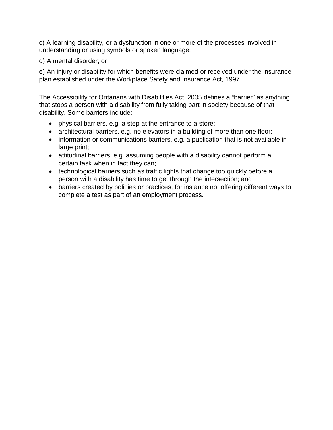c) A learning disability, or a dysfunction in one or more of the processes involved in understanding or using symbols or spoken language;

d) A mental disorder; or

e) An injury or disability for which benefits were claimed or received under the insurance plan established under the Workplace Safety and Insurance Act, 1997.

The Accessibility for Ontarians with Disabilities Act, 2005 defines a "barrier" as anything that stops a person with a disability from fully taking part in society because of that disability. Some barriers include:

- physical barriers, e.g. a step at the entrance to a store;
- architectural barriers, e.g. no elevators in a building of more than one floor;
- information or communications barriers, e.g. a publication that is not available in large print;
- attitudinal barriers, e.g. assuming people with a disability cannot perform a certain task when in fact they can;
- technological barriers such as traffic lights that change too quickly before a person with a disability has time to get through the intersection; and
- barriers created by policies or practices, for instance not offering different ways to complete a test as part of an employment process.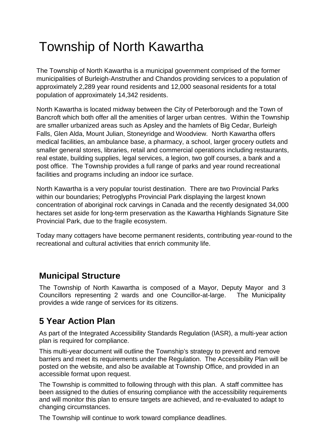## <span id="page-5-0"></span>Township of North Kawartha

The Township of North Kawartha is a municipal government comprised of the former municipalities of Burleigh-Anstruther and Chandos providing services to a population of approximately 2,289 year round residents and 12,000 seasonal residents for a total population of approximately 14,342 residents.

North Kawartha is located midway between the City of Peterborough and the Town of Bancroft which both offer all the amenities of larger urban centres. Within the Township are smaller urbanized areas such as Apsley and the hamlets of Big Cedar, Burleigh Falls, Glen Alda, Mount Julian, Stoneyridge and Woodview. North Kawartha offers medical facilities, an ambulance base, a pharmacy, a school, larger grocery outlets and smaller general stores, libraries, retail and commercial operations including restaurants, real estate, building supplies, legal services, a legion, two golf courses, a bank and a post office. The Township provides a full range of parks and year round recreational facilities and programs including an indoor ice surface.

North Kawartha is a very popular tourist destination. There are two Provincial Parks within our boundaries; Petroglyphs Provincial Park displaying the largest known concentration of aboriginal rock carvings in Canada and the recently designated 34,000 hectares set aside for long-term preservation as the Kawartha Highlands Signature Site Provincial Park, due to the fragile ecosystem.

Today many cottagers have become permanent residents, contributing year-round to the recreational and cultural activities that enrich community life.

## <span id="page-5-1"></span>**Municipal Structure**

The Township of North Kawartha is composed of a Mayor, Deputy Mayor and 3 Councillors representing 2 wards and one Councillor-at-large. The Municipality provides a wide range of services for its citizens.

## <span id="page-5-2"></span>**5 Year Action Plan**

As part of the Integrated Accessibility Standards Regulation (IASR), a multi-year action plan is required for compliance.

This multi-year document will outline the Township's strategy to prevent and remove barriers and meet its requirements under the Regulation. The Accessibility Plan will be posted on the website, and also be available at Township Office, and provided in an accessible format upon request.

The Township is committed to following through with this plan. A staff committee has been assigned to the duties of ensuring compliance with the accessibility requirements and will monitor this plan to ensure targets are achieved, and re-evaluated to adapt to changing circumstances.

The Township will continue to work toward compliance deadlines.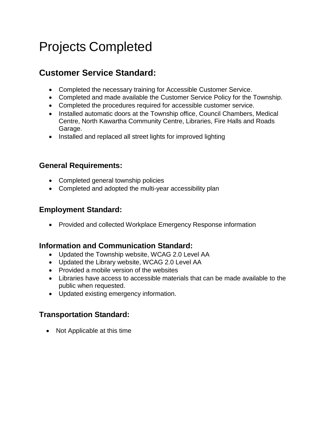## <span id="page-6-0"></span>Projects Completed

## <span id="page-6-1"></span>**Customer Service Standard:**

- Completed the necessary training for Accessible Customer Service.
- Completed and made available the Customer Service Policy for the Township.
- Completed the procedures required for accessible customer service.
- Installed automatic doors at the Township office, Council Chambers, Medical Centre, North Kawartha Community Centre, Libraries, Fire Halls and Roads Garage.
- Installed and replaced all street lights for improved lighting

#### <span id="page-6-2"></span>**General Requirements:**

- Completed general township policies
- Completed and adopted the multi-year accessibility plan

#### <span id="page-6-3"></span>**Employment Standard:**

• Provided and collected Workplace Emergency Response information

#### <span id="page-6-4"></span>**Information and Communication Standard:**

- Updated the Township website, WCAG 2.0 Level AA
- Updated the Library website, WCAG 2.0 Level AA
- Provided a mobile version of the websites
- Libraries have access to accessible materials that can be made available to the public when requested.
- Updated existing emergency information.

#### <span id="page-6-5"></span>**Transportation Standard:**

• Not Applicable at this time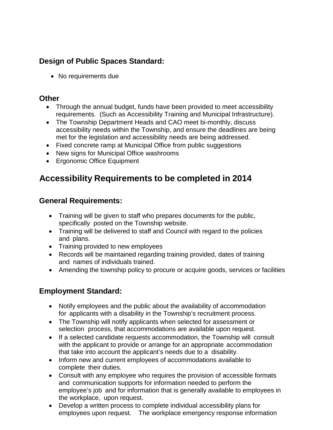#### <span id="page-7-0"></span>**Design of Public Spaces Standard:**

• No requirements due

#### <span id="page-7-1"></span>**Other**

- Through the annual budget, funds have been provided to meet accessibility requirements. (Such as Accessibility Training and Municipal Infrastructure).
- The Township Department Heads and CAO meet bi-monthly, discuss accessibility needs within the Township, and ensure the deadlines are being met for the legislation and accessibility needs are being addressed.
- Fixed concrete ramp at Municipal Office from public suggestions
- New signs for Municipal Office washrooms
- Ergonomic Office Equipment

### <span id="page-7-2"></span>**Accessibility Requirements to be completed in 2014**

#### <span id="page-7-3"></span>**General Requirements:**

- Training will be given to staff who prepares documents for the public, specifically posted on the Township website.
- Training will be delivered to staff and Council with regard to the policies and plans.
- Training provided to new employees
- Records will be maintained regarding training provided, dates of training and names of individuals trained.
- Amending the township policy to procure or acquire goods, services or facilities

#### <span id="page-7-4"></span>**Employment Standard:**

- Notify employees and the public about the availability of accommodation for applicants with a disability in the Township's recruitment process.
- The Township will notify applicants when selected for assessment or selection process, that accommodations are available upon request.
- If a selected candidate requests accommodation, the Township will consult with the applicant to provide or arrange for an appropriate accommodation that take into account the applicant's needs due to a disability.
- Inform new and current employees of accommodations available to complete their duties.
- Consult with any employee who requires the provision of accessible formats and communication supports for information needed to perform the employee's job and for information that is generally available to employees in the workplace, upon request.
- Develop a written process to complete individual accessibility plans for employees upon request. The workplace emergency response information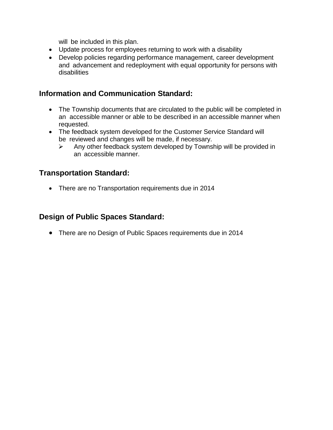will be included in this plan.

- Update process for employees returning to work with a disability
- Develop policies regarding performance management, career development and advancement and redeployment with equal opportunity for persons with disabilities

#### <span id="page-8-0"></span>**Information and Communication Standard:**

- The Township documents that are circulated to the public will be completed in an accessible manner or able to be described in an accessible manner when requested.
- The feedback system developed for the Customer Service Standard will be reviewed and changes will be made, if necessary.
	- $\triangleright$  Any other feedback system developed by Township will be provided in an accessible manner.

#### <span id="page-8-1"></span>**Transportation Standard:**

• There are no Transportation requirements due in 2014

#### <span id="page-8-2"></span>**Design of Public Spaces Standard:**

• There are no Design of Public Spaces requirements due in 2014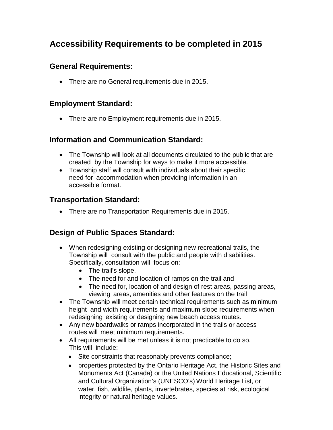#### <span id="page-9-1"></span><span id="page-9-0"></span>**General Requirements:**

• There are no General requirements due in 2015.

#### <span id="page-9-2"></span>**Employment Standard:**

• There are no Employment requirements due in 2015.

#### <span id="page-9-3"></span>**Information and Communication Standard:**

- The Township will look at all documents circulated to the public that are created by the Township for ways to make it more accessible.
- Township staff will consult with individuals about their specific need for accommodation when providing information in an accessible format.

#### <span id="page-9-4"></span>**Transportation Standard:**

• There are no Transportation Requirements due in 2015.

#### <span id="page-9-5"></span>**Design of Public Spaces Standard:**

- When redesigning existing or designing new recreational trails, the Township will consult with the public and people with disabilities. Specifically, consultation will focus on:
	- The trail's slope,
	- The need for and location of ramps on the trail and
	- The need for, location of and design of rest areas, passing areas, viewing areas, amenities and other features on the trail
- The Township will meet certain technical requirements such as minimum height and width requirements and maximum slope requirements when redesigning existing or designing new beach access routes.
- Any new boardwalks or ramps incorporated in the trails or access routes will meet minimum requirements.
- All requirements will be met unless it is not practicable to do so. This will include:
	- Site constraints that reasonably prevents compliance;
	- properties protected by the Ontario Heritage Act, the Historic Sites and Monuments Act (Canada) or the United Nations Educational, Scientific and Cultural Organization's (UNESCO's) World Heritage List, or water, fish, wildlife, plants, invertebrates, species at risk, ecological integrity or natural heritage values.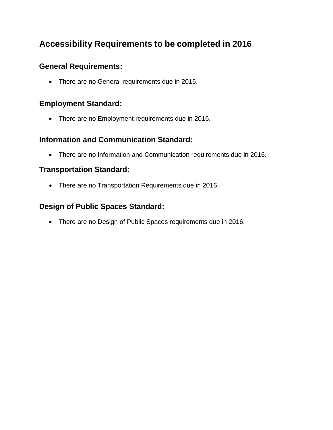#### <span id="page-10-1"></span><span id="page-10-0"></span>**General Requirements:**

• There are no General requirements due in 2016.

#### <span id="page-10-2"></span>**Employment Standard:**

• There are no Employment requirements due in 2016.

#### <span id="page-10-3"></span>**Information and Communication Standard:**

• There are no Information and Communication requirements due in 2016.

#### <span id="page-10-4"></span>**Transportation Standard:**

• There are no Transportation Requirements due in 2016.

#### <span id="page-10-5"></span>**Design of Public Spaces Standard:**

• There are no Design of Public Spaces requirements due in 2016.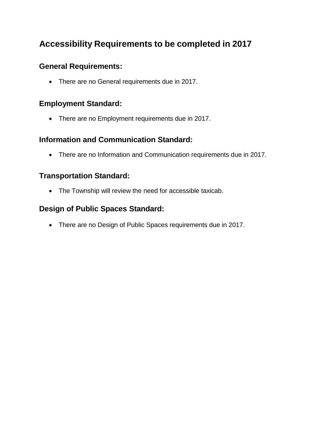#### <span id="page-11-1"></span><span id="page-11-0"></span>**General Requirements:**

• There are no General requirements due in 2017.

#### <span id="page-11-2"></span>**Employment Standard:**

• There are no Employment requirements due in 2017.

#### <span id="page-11-3"></span>**Information and Communication Standard:**

• There are no Information and Communication requirements due in 2017.

#### <span id="page-11-4"></span>**Transportation Standard:**

• The Township will review the need for accessible taxicab.

#### <span id="page-11-5"></span>**Design of Public Spaces Standard:**

• There are no Design of Public Spaces requirements due in 2017.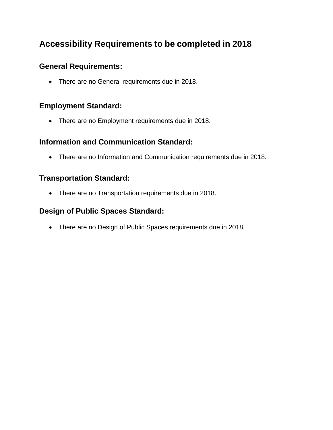#### <span id="page-12-1"></span><span id="page-12-0"></span>**General Requirements:**

• There are no General requirements due in 2018.

#### <span id="page-12-2"></span>**Employment Standard:**

• There are no Employment requirements due in 2018.

#### <span id="page-12-3"></span>**Information and Communication Standard:**

• There are no Information and Communication requirements due in 2018.

#### <span id="page-12-4"></span>**Transportation Standard:**

• There are no Transportation requirements due in 2018.

#### <span id="page-12-5"></span>**Design of Public Spaces Standard:**

• There are no Design of Public Spaces requirements due in 2018.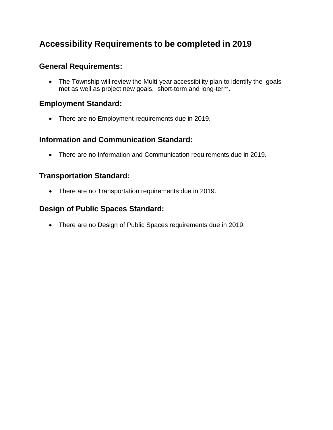#### <span id="page-13-1"></span><span id="page-13-0"></span>**General Requirements:**

• The Township will review the Multi-year accessibility plan to identify the goals met as well as project new goals, short-term and long-term.

#### <span id="page-13-2"></span>**Employment Standard:**

• There are no Employment requirements due in 2019.

#### <span id="page-13-3"></span>**Information and Communication Standard:**

• There are no Information and Communication requirements due in 2019.

#### <span id="page-13-4"></span>**Transportation Standard:**

• There are no Transportation requirements due in 2019.

#### <span id="page-13-5"></span>**Design of Public Spaces Standard:**

• There are no Design of Public Spaces requirements due in 2019.